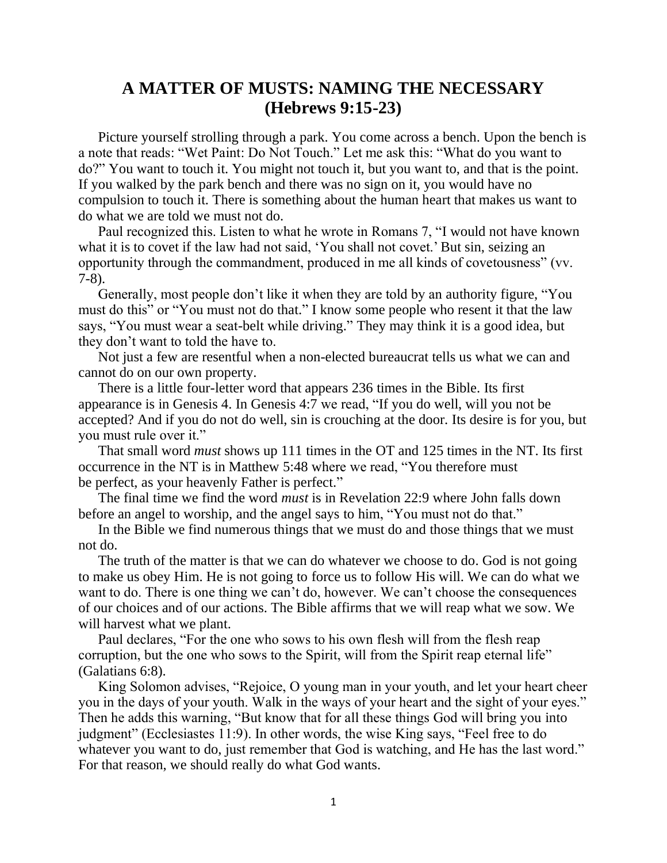## **A MATTER OF MUSTS: NAMING THE NECESSARY (Hebrews 9:15-23)**

Picture yourself strolling through a park. You come across a bench. Upon the bench is a note that reads: "Wet Paint: Do Not Touch." Let me ask this: "What do you want to do?" You want to touch it. You might not touch it, but you want to, and that is the point. If you walked by the park bench and there was no sign on it, you would have no compulsion to touch it. There is something about the human heart that makes us want to do what we are told we must not do.

Paul recognized this. Listen to what he wrote in Romans 7, "I would not have known what it is to covet if the law had not said, 'You shall not covet.' But sin, seizing an opportunity through the commandment, produced in me all kinds of covetousness" (vv. 7-8).

Generally, most people don't like it when they are told by an authority figure, "You must do this" or "You must not do that." I know some people who resent it that the law says, "You must wear a seat-belt while driving." They may think it is a good idea, but they don't want to told the have to.

Not just a few are resentful when a non-elected bureaucrat tells us what we can and cannot do on our own property.

There is a little four-letter word that appears 236 times in the Bible. Its first appearance is in Genesis 4. In Genesis 4:7 we read, "If you do well, will you not be accepted? And if you do not do well, sin is crouching at the door. Its desire is for you, but you must rule over it."

That small word *must* shows up 111 times in the OT and 125 times in the NT. Its first occurrence in the NT is in Matthew 5:48 where we read, "You therefore must be perfect, as your heavenly Father is perfect."

The final time we find the word *must* is in Revelation 22:9 where John falls down before an angel to worship, and the angel says to him, "You must not do that."

In the Bible we find numerous things that we must do and those things that we must not do.

The truth of the matter is that we can do whatever we choose to do. God is not going to make us obey Him. He is not going to force us to follow His will. We can do what we want to do. There is one thing we can't do, however. We can't choose the consequences of our choices and of our actions. The Bible affirms that we will reap what we sow. We will harvest what we plant.

Paul declares, "For the one who sows to his own flesh will from the flesh reap corruption, but the one who sows to the Spirit, will from the Spirit reap eternal life" (Galatians 6:8).

King Solomon advises, "Rejoice, O young man in your youth, and let your heart cheer you in the days of your youth. Walk in the ways of your heart and the sight of your eyes." Then he adds this warning, "But know that for all these things God will bring you into judgment" (Ecclesiastes 11:9). In other words, the wise King says, "Feel free to do whatever you want to do, just remember that God is watching, and He has the last word." For that reason, we should really do what God wants.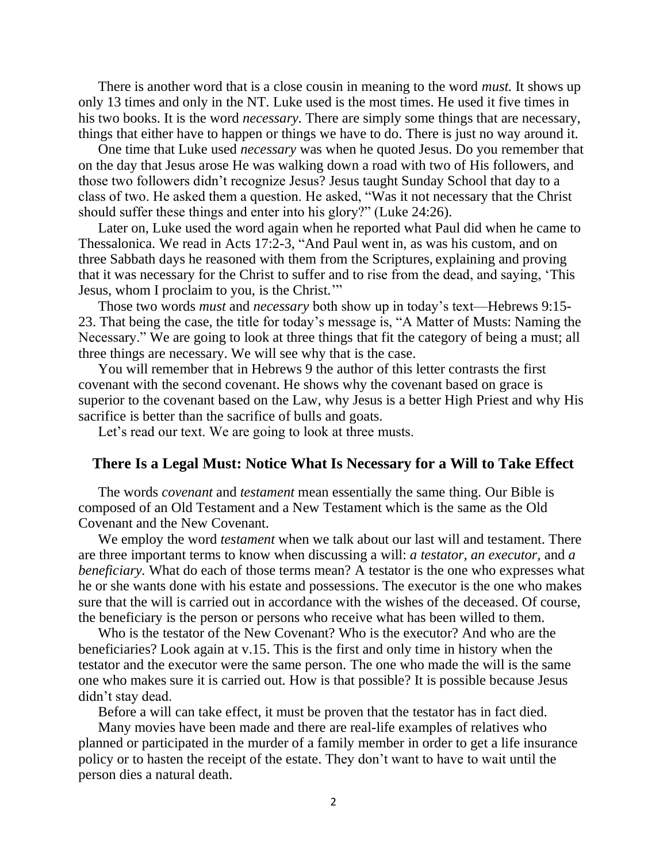There is another word that is a close cousin in meaning to the word *must.* It shows up only 13 times and only in the NT. Luke used is the most times. He used it five times in his two books. It is the word *necessary.* There are simply some things that are necessary, things that either have to happen or things we have to do. There is just no way around it.

One time that Luke used *necessary* was when he quoted Jesus. Do you remember that on the day that Jesus arose He was walking down a road with two of His followers, and those two followers didn't recognize Jesus? Jesus taught Sunday School that day to a class of two. He asked them a question. He asked, "Was it not necessary that the Christ should suffer these things and enter into his glory?" (Luke 24:26).

Later on, Luke used the word again when he reported what Paul did when he came to Thessalonica. We read in Acts 17:2-3, "And Paul went in, as was his custom, and on three Sabbath days he reasoned with them from the Scriptures, explaining and proving that it was necessary for the Christ to suffer and to rise from the dead, and saying, 'This Jesus, whom I proclaim to you, is the Christ.'"

Those two words *must* and *necessary* both show up in today's text—Hebrews 9:15- 23. That being the case, the title for today's message is, "A Matter of Musts: Naming the Necessary." We are going to look at three things that fit the category of being a must; all three things are necessary. We will see why that is the case.

You will remember that in Hebrews 9 the author of this letter contrasts the first covenant with the second covenant. He shows why the covenant based on grace is superior to the covenant based on the Law, why Jesus is a better High Priest and why His sacrifice is better than the sacrifice of bulls and goats.

Let's read our text. We are going to look at three musts.

## **There Is a Legal Must: Notice What Is Necessary for a Will to Take Effect**

The words *covenant* and *testament* mean essentially the same thing. Our Bible is composed of an Old Testament and a New Testament which is the same as the Old Covenant and the New Covenant.

We employ the word *testament* when we talk about our last will and testament. There are three important terms to know when discussing a will: *a testator, an executor,* and *a beneficiary.* What do each of those terms mean? A testator is the one who expresses what he or she wants done with his estate and possessions. The executor is the one who makes sure that the will is carried out in accordance with the wishes of the deceased. Of course, the beneficiary is the person or persons who receive what has been willed to them.

Who is the testator of the New Covenant? Who is the executor? And who are the beneficiaries? Look again at v.15. This is the first and only time in history when the testator and the executor were the same person. The one who made the will is the same one who makes sure it is carried out. How is that possible? It is possible because Jesus didn't stay dead.

Before a will can take effect, it must be proven that the testator has in fact died.

Many movies have been made and there are real-life examples of relatives who planned or participated in the murder of a family member in order to get a life insurance policy or to hasten the receipt of the estate. They don't want to have to wait until the person dies a natural death.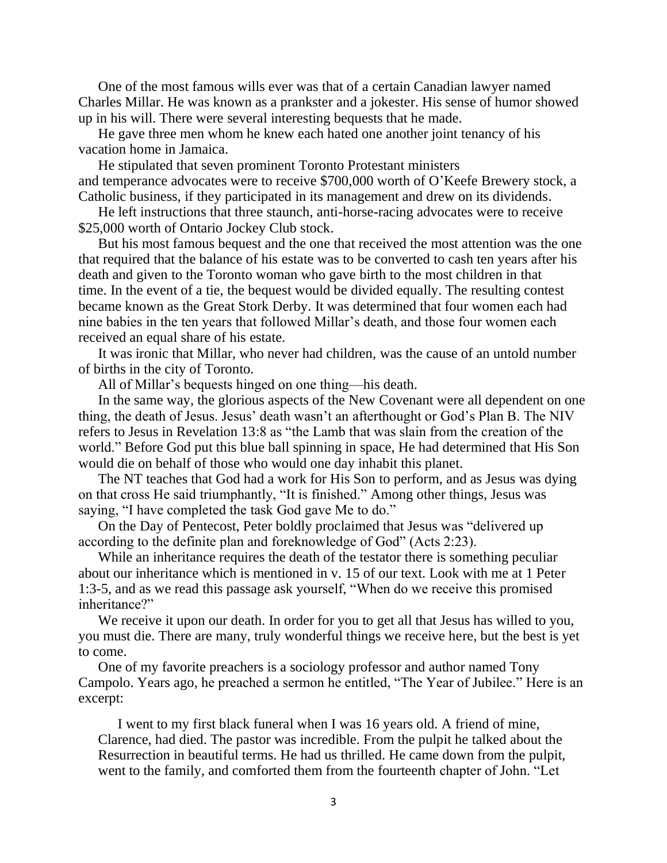One of the most famous wills ever was that of a certain Canadian lawyer named Charles Millar. He was known as a prankster and a jokester. His sense of humor showed up in his will. There were several interesting bequests that he made.

He gave three men whom he knew each hated one another joint tenancy of his vacation home in Jamaica.

He stipulated that seven prominent Toronto Protestant ministers and [temperance](http://en.wikipedia.org/wiki/Temperance_movement) advocates were to receive \$700,000 worth of O'Keefe Brewery stock, a Catholic business, if they participated in its management and drew on its dividends.

He left instructions that three staunch, anti-horse-racing advocates were to receive \$25,000 worth of Ontario Jockey Club stock.

But his most famous bequest and the one that received the most attention was the one that required that the balance of his estate was to be converted to cash ten years after his death and given to the Toronto woman who gave birth to the most children in that time. In the event of a tie, the bequest would be divided equally. The resulting contest became known as the [Great Stork Derby.](http://en.wikipedia.org/wiki/Great_Stork_Derby) It was determined that four women each had nine babies in the ten years that followed Millar's death, and those four women each received an equal share of his estate.

It was ironic that Millar, who never had children, was the cause of an untold number of births in the city of Toronto.

All of Millar's bequests hinged on one thing—his death.

In the same way, the glorious aspects of the New Covenant were all dependent on one thing, the death of Jesus. Jesus' death wasn't an afterthought or God's Plan B. The NIV refers to Jesus in Revelation 13:8 as "the Lamb that was slain from the creation of the world." Before God put this blue ball spinning in space, He had determined that His Son would die on behalf of those who would one day inhabit this planet.

The NT teaches that God had a work for His Son to perform, and as Jesus was dying on that cross He said triumphantly, "It is finished." Among other things, Jesus was saying, "I have completed the task God gave Me to do."

On the Day of Pentecost, Peter boldly proclaimed that Jesus was "delivered up according to the definite plan and foreknowledge of God" (Acts 2:23).

While an inheritance requires the death of the testator there is something peculiar about our inheritance which is mentioned in v. 15 of our text. Look with me at 1 Peter 1:3-5, and as we read this passage ask yourself, "When do we receive this promised inheritance?"

We receive it upon our death. In order for you to get all that Jesus has willed to you, you must die. There are many, truly wonderful things we receive here, but the best is yet to come.

One of my favorite preachers is a sociology professor and author named Tony Campolo. Years ago, he preached a sermon he entitled, "The Year of Jubilee." Here is an excerpt:

I went to my first black funeral when I was 16 years old. A friend of mine, Clarence, had died. The pastor was incredible. From the pulpit he talked about the Resurrection in beautiful terms. He had us thrilled. He came down from the pulpit, went to the family, and comforted them from the fourteenth chapter of John. "Let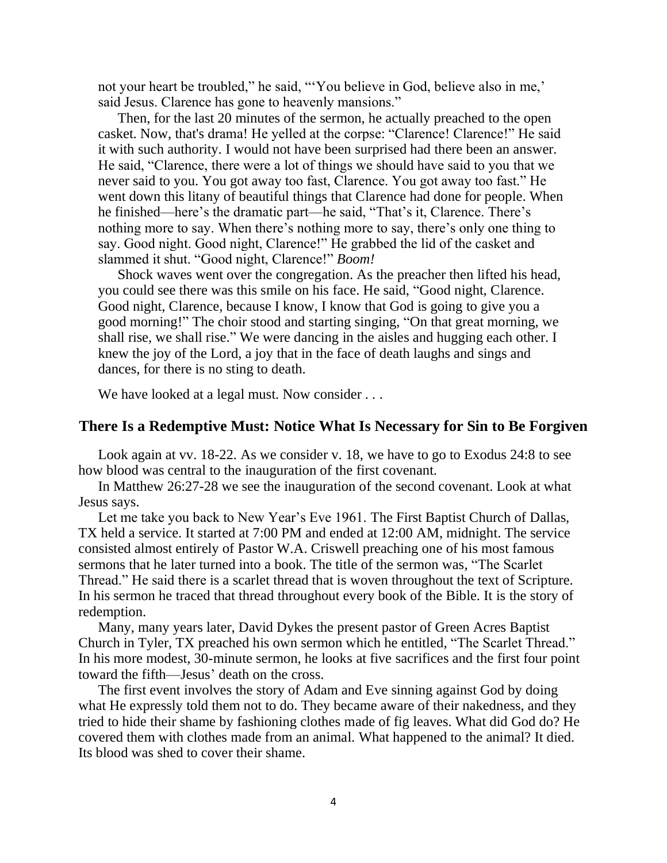not your heart be troubled," he said, "'You believe in God, believe also in me,' said Jesus. Clarence has gone to heavenly mansions."

Then, for the last 20 minutes of the sermon, he actually preached to the open casket. Now, that's drama! He yelled at the corpse: "Clarence! Clarence!" He said it with such authority. I would not have been surprised had there been an answer. He said, "Clarence, there were a lot of things we should have said to you that we never said to you. You got away too fast, Clarence. You got away too fast." He went down this litany of beautiful things that Clarence had done for people. When he finished—here's the dramatic part—he said, "That's it, Clarence. There's nothing more to say. When there's nothing more to say, there's only one thing to say. Good night. Good night, Clarence!" He grabbed the lid of the casket and slammed it shut. "Good night, Clarence!" *Boom!*

Shock waves went over the congregation. As the preacher then lifted his head, you could see there was this smile on his face. He said, "Good night, Clarence. Good night, Clarence, because I know, I know that God is going to give you a good morning!" The choir stood and starting singing, "On that great morning, we shall rise, we shall rise." We were dancing in the aisles and hugging each other. I knew the joy of the Lord, a joy that in the face of death laughs and sings and dances, for there is no sting to death.

We have looked at a legal must. Now consider . . .

## **There Is a Redemptive Must: Notice What Is Necessary for Sin to Be Forgiven**

Look again at vv. 18-22. As we consider v. 18, we have to go to Exodus 24:8 to see how blood was central to the inauguration of the first covenant.

In Matthew 26:27-28 we see the inauguration of the second covenant. Look at what Jesus says.

Let me take you back to New Year's Eve 1961. The First Baptist Church of Dallas, TX held a service. It started at 7:00 PM and ended at 12:00 AM, midnight. The service consisted almost entirely of Pastor W.A. Criswell preaching one of his most famous sermons that he later turned into a book. The title of the sermon was, "The Scarlet Thread." He said there is a scarlet thread that is woven throughout the text of Scripture. In his sermon he traced that thread throughout every book of the Bible. It is the story of redemption.

Many, many years later, David Dykes the present pastor of Green Acres Baptist Church in Tyler, TX preached his own sermon which he entitled, "The Scarlet Thread." In his more modest, 30-minute sermon, he looks at five sacrifices and the first four point toward the fifth—Jesus' death on the cross.

The first event involves the story of Adam and Eve sinning against God by doing what He expressly told them not to do. They became aware of their nakedness, and they tried to hide their shame by fashioning clothes made of fig leaves. What did God do? He covered them with clothes made from an animal. What happened to the animal? It died. Its blood was shed to cover their shame.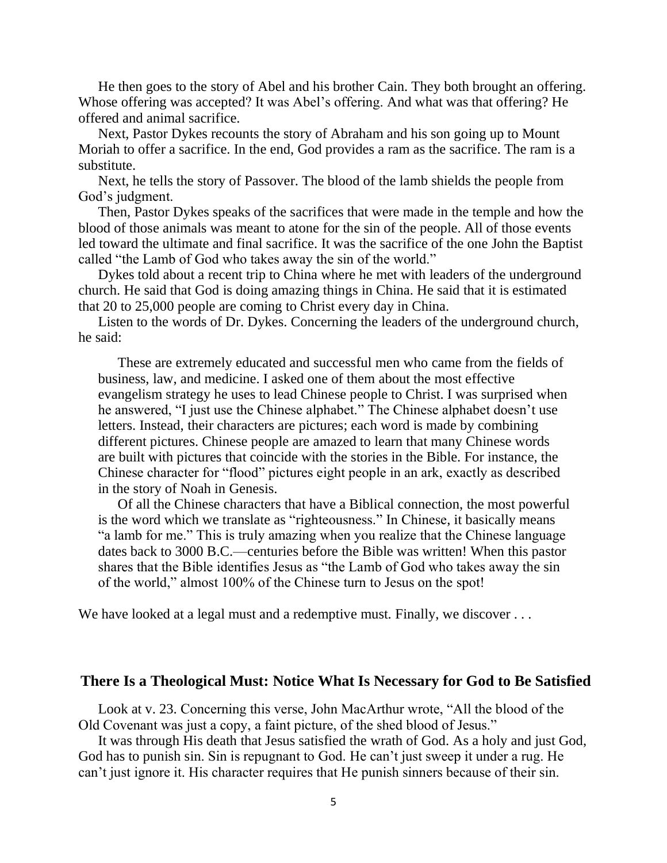He then goes to the story of Abel and his brother Cain. They both brought an offering. Whose offering was accepted? It was Abel's offering. And what was that offering? He offered and animal sacrifice.

Next, Pastor Dykes recounts the story of Abraham and his son going up to Mount Moriah to offer a sacrifice. In the end, God provides a ram as the sacrifice. The ram is a substitute.

Next, he tells the story of Passover. The blood of the lamb shields the people from God's judgment.

Then, Pastor Dykes speaks of the sacrifices that were made in the temple and how the blood of those animals was meant to atone for the sin of the people. All of those events led toward the ultimate and final sacrifice. It was the sacrifice of the one John the Baptist called "the Lamb of God who takes away the sin of the world."

Dykes told about a recent trip to China where he met with leaders of the underground church. He said that God is doing amazing things in China. He said that it is estimated that 20 to 25,000 people are coming to Christ every day in China.

Listen to the words of Dr. Dykes. Concerning the leaders of the underground church, he said:

These are extremely educated and successful men who came from the fields of business, law, and medicine. I asked one of them about the most effective evangelism strategy he uses to lead Chinese people to Christ. I was surprised when he answered, "I just use the Chinese alphabet." The Chinese alphabet doesn't use letters. Instead, their characters are pictures; each word is made by combining different pictures. Chinese people are amazed to learn that many Chinese words are built with pictures that coincide with the stories in the Bible. For instance, the Chinese character for "flood" pictures eight people in an ark, exactly as described in the story of Noah in Genesis.

Of all the Chinese characters that have a Biblical connection, the most powerful is the word which we translate as "righteousness." In Chinese, it basically means "a lamb for me." This is truly amazing when you realize that the Chinese language dates back to 3000 B.C.—centuries before the Bible was written! When this pastor shares that the Bible identifies Jesus as "the Lamb of God who takes away the sin of the world," almost 100% of the Chinese turn to Jesus on the spot!

We have looked at a legal must and a redemptive must. Finally, we discover . . .

## **There Is a Theological Must: Notice What Is Necessary for God to Be Satisfied**

Look at v. 23. Concerning this verse, John MacArthur wrote, "All the blood of the Old Covenant was just a copy, a faint picture, of the shed blood of Jesus."

It was through His death that Jesus satisfied the wrath of God. As a holy and just God, God has to punish sin. Sin is repugnant to God. He can't just sweep it under a rug. He can't just ignore it. His character requires that He punish sinners because of their sin.